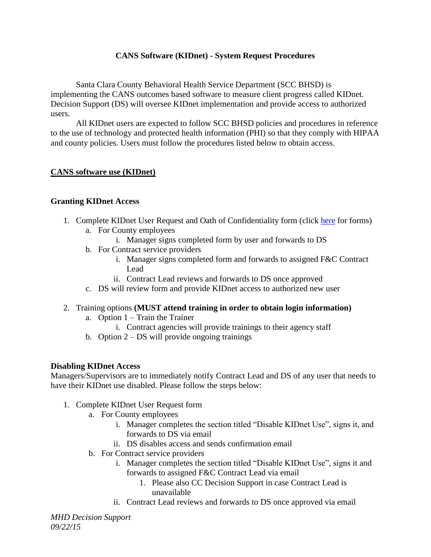# **CANS Software (KIDnet) - System Request Procedures**

Santa Clara County Behavioral Health Service Department (SCC BHSD) is implementing the CANS outcomes based software to measure client progress called KIDnet. Decision Support (DS) will oversee KIDnet implementation and provide access to authorized users.

All KIDnet users are expected to follow SCC BHSD policies and procedures in reference to the use of technology and protected health information (PHI) so that they comply with HIPAA and county policies. Users must follow the procedures listed below to obtain access.

## **CANS software use (KIDnet)**

### **Granting KIDnet Access**

- 1. Complete KIDnet User Request and Oath of Confidentiality form (click [here](https://www.sccgov.org/sites/mhd/Providers/DecisionSupport/Pages/DecisionSupport.aspx) for forms) a. For County employees
	- i. Manager signs completed form by user and forwards to DS
	- b. For Contract service providers
		- i. Manager signs completed form and forwards to assigned F&C Contract Lead
		- ii. Contract Lead reviews and forwards to DS once approved
	- c. DS will review form and provide KIDnet access to authorized new user
- 2. Training options **(MUST attend training in order to obtain login information)**
	- a. Option 1 Train the Trainer
		- i. Contract agencies will provide trainings to their agency staff
	- b. Option  $2 DS$  will provide ongoing trainings

### **Disabling KIDnet Access**

Managers/Supervisors are to immediately notify Contract Lead and DS of any user that needs to have their KIDnet use disabled. Please follow the steps below:

- 1. Complete KIDnet User Request form
	- a. For County employees
		- i. Manager completes the section titled "Disable KIDnet Use", signs it, and forwards to DS via email
		- ii. DS disables access and sends confirmation email
		- b. For Contract service providers
			- i. Manager completes the section titled "Disable KIDnet Use", signs it and forwards to assigned F&C Contract Lead via email
				- 1. Please also CC Decision Support in case Contract Lead is unavailable
			- ii. Contract Lead reviews and forwards to DS once approved via email